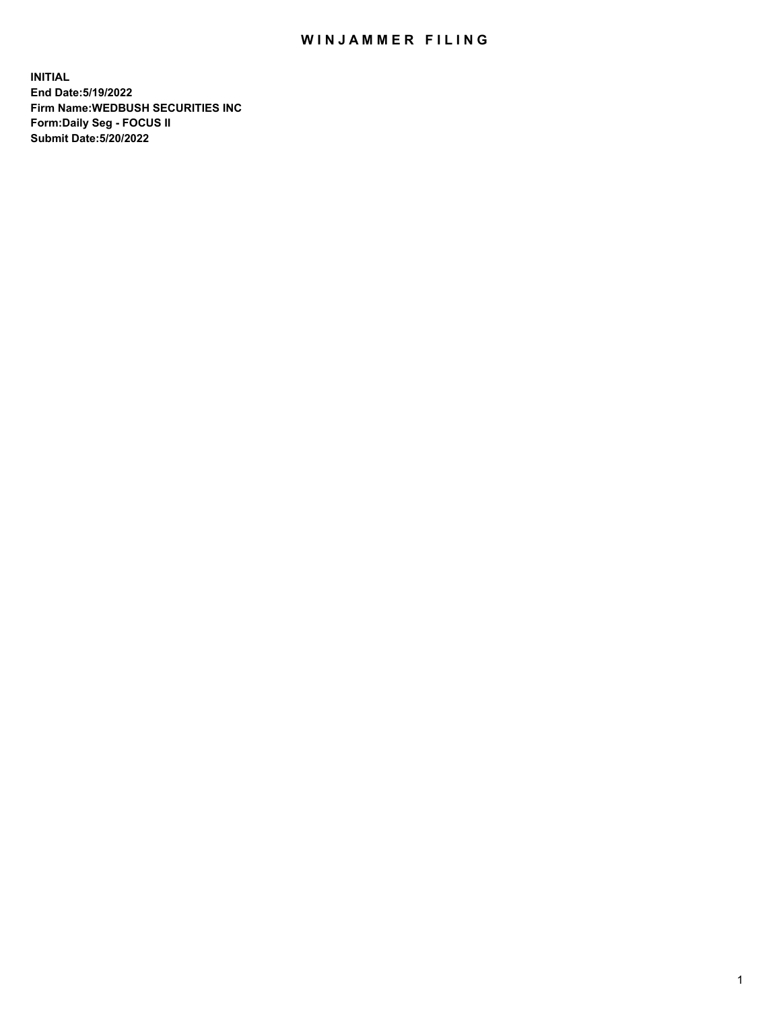## WIN JAMMER FILING

**INITIAL End Date:5/19/2022 Firm Name:WEDBUSH SECURITIES INC Form:Daily Seg - FOCUS II Submit Date:5/20/2022**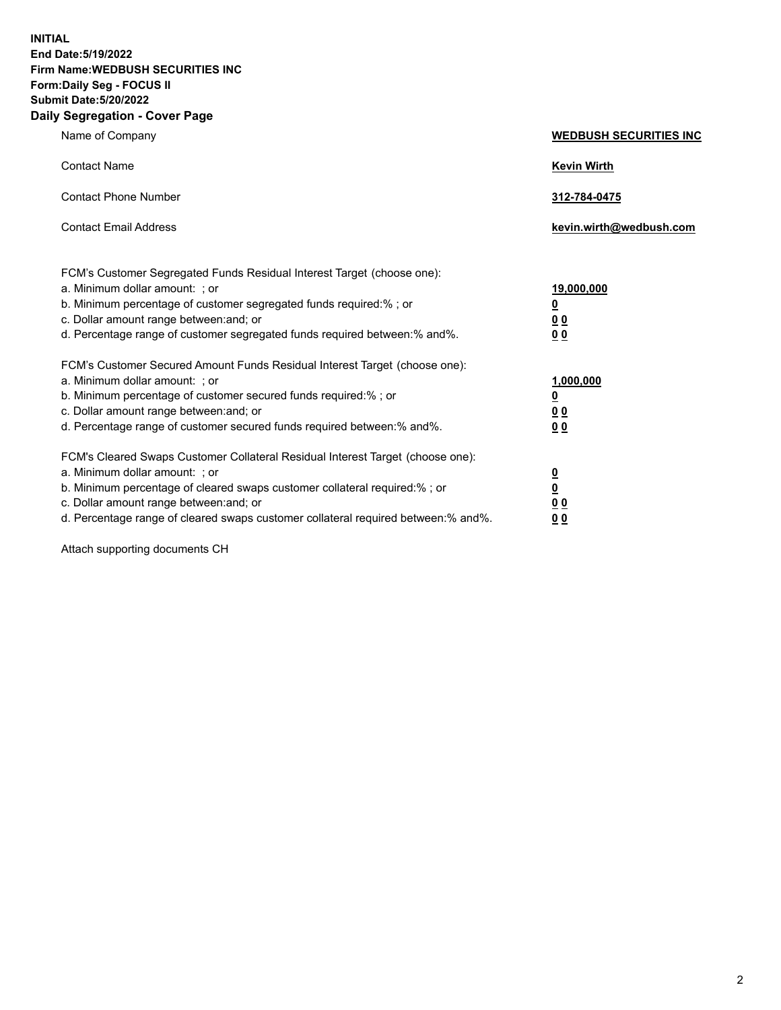**INITIAL End Date:5/19/2022 Firm Name:WEDBUSH SECURITIES INC Form:Daily Seg - FOCUS II Submit Date:5/20/2022 Daily Segregation - Cover Page**

| Name of Company                                                                                                                                                                                                                                                                                                                                                                     | <b>WEDBUSH SECURITIES INC</b>                                                              |
|-------------------------------------------------------------------------------------------------------------------------------------------------------------------------------------------------------------------------------------------------------------------------------------------------------------------------------------------------------------------------------------|--------------------------------------------------------------------------------------------|
| <b>Contact Name</b>                                                                                                                                                                                                                                                                                                                                                                 | <b>Kevin Wirth</b>                                                                         |
| <b>Contact Phone Number</b>                                                                                                                                                                                                                                                                                                                                                         | 312-784-0475                                                                               |
| <b>Contact Email Address</b>                                                                                                                                                                                                                                                                                                                                                        | kevin.wirth@wedbush.com                                                                    |
| FCM's Customer Segregated Funds Residual Interest Target (choose one):<br>a. Minimum dollar amount: ; or<br>b. Minimum percentage of customer segregated funds required:%; or<br>c. Dollar amount range between: and; or                                                                                                                                                            | 19,000,000<br>$\overline{\mathbf{0}}$<br>00                                                |
| d. Percentage range of customer segregated funds required between:% and%.<br>FCM's Customer Secured Amount Funds Residual Interest Target (choose one):<br>a. Minimum dollar amount: ; or<br>b. Minimum percentage of customer secured funds required:% ; or<br>c. Dollar amount range between: and; or<br>d. Percentage range of customer secured funds required between: % and %. | 0 <sub>0</sub><br>1,000,000<br>$\overline{\mathbf{0}}$<br>0 <sub>0</sub><br>0 <sub>0</sub> |
| FCM's Cleared Swaps Customer Collateral Residual Interest Target (choose one):<br>a. Minimum dollar amount: ; or<br>b. Minimum percentage of cleared swaps customer collateral required:%; or<br>c. Dollar amount range between: and; or                                                                                                                                            | $\frac{\frac{0}{0}}{\frac{0}{0}}$                                                          |

d. Percentage range of cleared swaps customer collateral required between:% and%. **0 0**

Attach supporting documents CH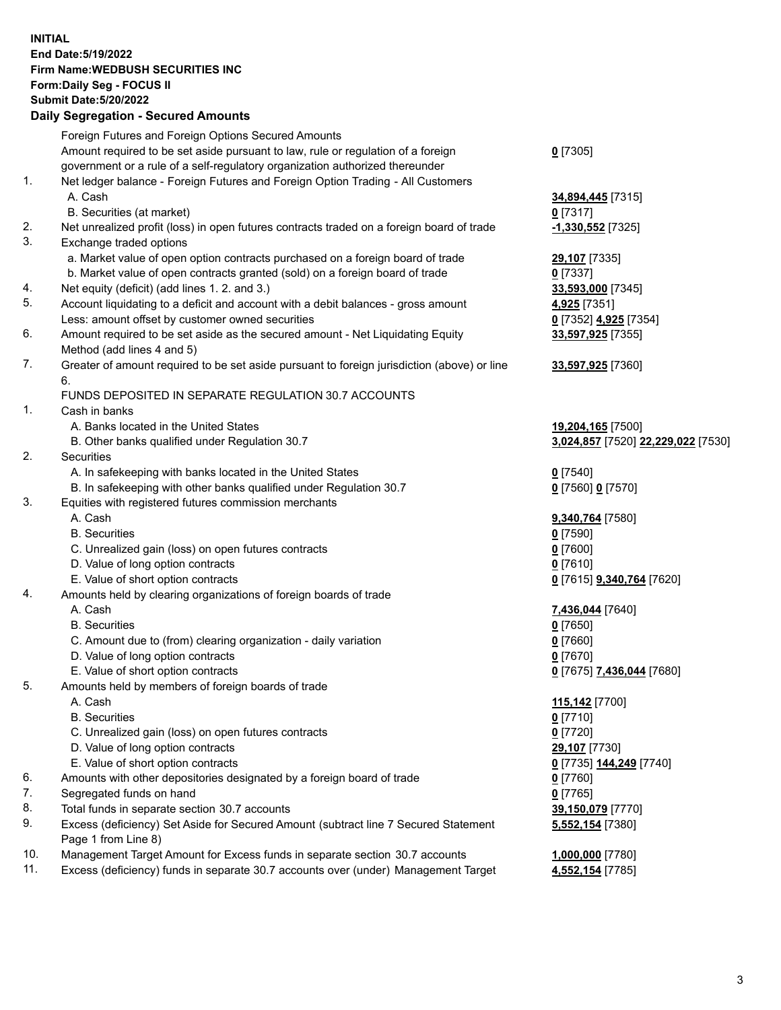**INITIAL End Date:5/19/2022 Firm Name:WEDBUSH SECURITIES INC Form:Daily Seg - FOCUS II Submit Date:5/20/2022 Daily Segregation - Secured Amounts**

|            | Daily Jegregation - Jeculed Aniounts                                                        |                                    |
|------------|---------------------------------------------------------------------------------------------|------------------------------------|
|            | Foreign Futures and Foreign Options Secured Amounts                                         |                                    |
|            | Amount required to be set aside pursuant to law, rule or regulation of a foreign            | $0$ [7305]                         |
|            | government or a rule of a self-regulatory organization authorized thereunder                |                                    |
| 1.         | Net ledger balance - Foreign Futures and Foreign Option Trading - All Customers             |                                    |
|            | A. Cash                                                                                     | 34,894,445 [7315]                  |
|            | B. Securities (at market)                                                                   | $0$ [7317]                         |
| 2.         | Net unrealized profit (loss) in open futures contracts traded on a foreign board of trade   | -1,330,552 <sup>[7325]</sup>       |
| 3.         | Exchange traded options                                                                     |                                    |
|            | a. Market value of open option contracts purchased on a foreign board of trade              | <b>29,107</b> [7335]               |
|            | b. Market value of open contracts granted (sold) on a foreign board of trade                | $0$ [7337]                         |
| 4.         | Net equity (deficit) (add lines 1. 2. and 3.)                                               | 33,593,000 [7345]                  |
| 5.         | Account liquidating to a deficit and account with a debit balances - gross amount           | 4,925 [7351]                       |
|            | Less: amount offset by customer owned securities                                            | 0 [7352] 4,925 [7354]              |
| 6.         | Amount required to be set aside as the secured amount - Net Liquidating Equity              | 33,597,925 [7355]                  |
|            | Method (add lines 4 and 5)                                                                  |                                    |
| 7.         | Greater of amount required to be set aside pursuant to foreign jurisdiction (above) or line | 33,597,925 [7360]                  |
|            | 6.                                                                                          |                                    |
|            | FUNDS DEPOSITED IN SEPARATE REGULATION 30.7 ACCOUNTS                                        |                                    |
| 1.         | Cash in banks                                                                               |                                    |
|            | A. Banks located in the United States                                                       | 19,204,165 [7500]                  |
|            | B. Other banks qualified under Regulation 30.7                                              | 3,024,857 [7520] 22,229,022 [7530] |
| 2.         | Securities                                                                                  |                                    |
|            | A. In safekeeping with banks located in the United States                                   | $0$ [7540]                         |
|            | B. In safekeeping with other banks qualified under Regulation 30.7                          | 0 [7560] 0 [7570]                  |
| 3.         | Equities with registered futures commission merchants                                       |                                    |
|            | A. Cash                                                                                     | 9,340,764 [7580]                   |
|            | <b>B.</b> Securities                                                                        | $0$ [7590]                         |
|            | C. Unrealized gain (loss) on open futures contracts                                         | $0$ [7600]                         |
|            | D. Value of long option contracts                                                           | $0$ [7610]                         |
|            | E. Value of short option contracts                                                          | 0 [7615] 9,340,764 [7620]          |
| 4.         | Amounts held by clearing organizations of foreign boards of trade                           |                                    |
|            | A. Cash                                                                                     | 7,436,044 [7640]                   |
|            | <b>B.</b> Securities                                                                        | $0$ [7650]                         |
|            | C. Amount due to (from) clearing organization - daily variation                             | $0$ [7660]                         |
|            | D. Value of long option contracts                                                           | $0$ [7670]                         |
|            | E. Value of short option contracts                                                          | 0 [7675] 7,436,044 [7680]          |
| 5.         | Amounts held by members of foreign boards of trade                                          |                                    |
|            | A. Cash                                                                                     | 115,142 [7700]                     |
|            | <b>B.</b> Securities                                                                        | $0$ [7710]                         |
|            | C. Unrealized gain (loss) on open futures contracts                                         | $0$ [7720]                         |
|            | D. Value of long option contracts                                                           | 29,107 [7730]                      |
|            | E. Value of short option contracts                                                          | 0 [7735] 144,249 [7740]            |
| 6.         | Amounts with other depositories designated by a foreign board of trade                      | $0$ [7760]                         |
| 7.         | Segregated funds on hand                                                                    | $0$ [7765]                         |
| 8.         | Total funds in separate section 30.7 accounts                                               | 39,150,079 [7770]                  |
| 9.         | Excess (deficiency) Set Aside for Secured Amount (subtract line 7 Secured Statement         | 5,552,154 [7380]                   |
|            | Page 1 from Line 8)                                                                         |                                    |
| 10.<br>11. | Management Target Amount for Excess funds in separate section 30.7 accounts                 | 1,000,000 [7780]                   |
|            | Excess (deficiency) funds in separate 30.7 accounts over (under) Management Target          | 4,552,154 [7785]                   |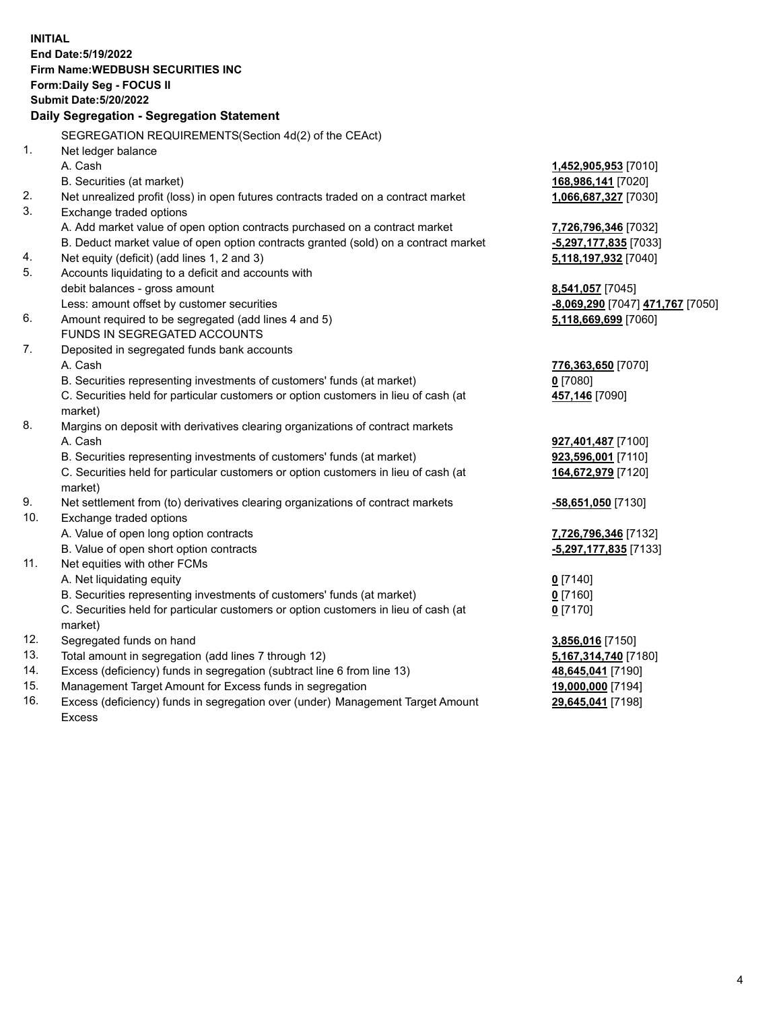|     | <b>INITIAL</b>                                                                      |                                  |
|-----|-------------------------------------------------------------------------------------|----------------------------------|
|     | End Date: 5/19/2022                                                                 |                                  |
|     | <b>Firm Name: WEDBUSH SECURITIES INC</b>                                            |                                  |
|     | Form: Daily Seg - FOCUS II                                                          |                                  |
|     | <b>Submit Date: 5/20/2022</b>                                                       |                                  |
|     | Daily Segregation - Segregation Statement                                           |                                  |
|     | SEGREGATION REQUIREMENTS(Section 4d(2) of the CEAct)                                |                                  |
| 1.  | Net ledger balance                                                                  |                                  |
|     | A. Cash                                                                             | 1,452,905,953 [7010]             |
|     | B. Securities (at market)                                                           | 168,986,141 [7020]               |
| 2.  | Net unrealized profit (loss) in open futures contracts traded on a contract market  | 1,066,687,327 [7030]             |
| 3.  | Exchange traded options                                                             |                                  |
|     | A. Add market value of open option contracts purchased on a contract market         | 7,726,796,346 [7032]             |
|     | B. Deduct market value of open option contracts granted (sold) on a contract market | -5,297,177,835 [7033]            |
| 4.  | Net equity (deficit) (add lines 1, 2 and 3)                                         | 5,118,197,932 [7040]             |
| 5.  | Accounts liquidating to a deficit and accounts with                                 |                                  |
|     | debit balances - gross amount                                                       | 8,541,057 [7045]                 |
|     | Less: amount offset by customer securities                                          | -8,069,290 [7047] 471,767 [7050] |
| 6.  | Amount required to be segregated (add lines 4 and 5)                                | 5,118,669,699 [7060]             |
|     | FUNDS IN SEGREGATED ACCOUNTS                                                        |                                  |
| 7.  | Deposited in segregated funds bank accounts                                         |                                  |
|     | A. Cash                                                                             | 776,363,650 [7070]               |
|     | B. Securities representing investments of customers' funds (at market)              | $0$ [7080]                       |
|     | C. Securities held for particular customers or option customers in lieu of cash (at | 457,146 [7090]                   |
|     | market)                                                                             |                                  |
| 8.  | Margins on deposit with derivatives clearing organizations of contract markets      |                                  |
|     | A. Cash                                                                             | 927,401,487 [7100]               |
|     | B. Securities representing investments of customers' funds (at market)              | 923,596,001 [7110]               |
|     | C. Securities held for particular customers or option customers in lieu of cash (at | 164,672,979 [7120]               |
|     | market)                                                                             |                                  |
| 9.  | Net settlement from (to) derivatives clearing organizations of contract markets     | -58,651,050 [7130]               |
| 10. | Exchange traded options                                                             |                                  |
|     | A. Value of open long option contracts                                              | 7,726,796,346 [7132]             |
| 11. | B. Value of open short option contracts                                             | -5,297,177,835 [7133]            |
|     | Net equities with other FCMs<br>A. Net liquidating equity                           |                                  |
|     | B. Securities representing investments of customers' funds (at market)              | $0$ [7140]<br>$0$ [7160]         |
|     | C. Securities held for particular customers or option customers in lieu of cash (at | $0$ [7170]                       |
|     | market)                                                                             |                                  |
| 12. | Segregated funds on hand                                                            | 3,856,016 [7150]                 |
| 13. | Total amount in segregation (add lines 7 through 12)                                | 5,167,314,740 [7180]             |
| 14. | Excess (deficiency) funds in segregation (subtract line 6 from line 13)             | 48,645,041 [7190]                |
| 15. | Management Target Amount for Excess funds in segregation                            | 19,000,000 [7194]                |
| 16. | Excess (deficiency) funds in segregation over (under) Management Target Amount      | 29,645,041 [7198]                |
|     |                                                                                     |                                  |

16. Excess (deficiency) funds in segregation over (under) Management Target Amount Excess